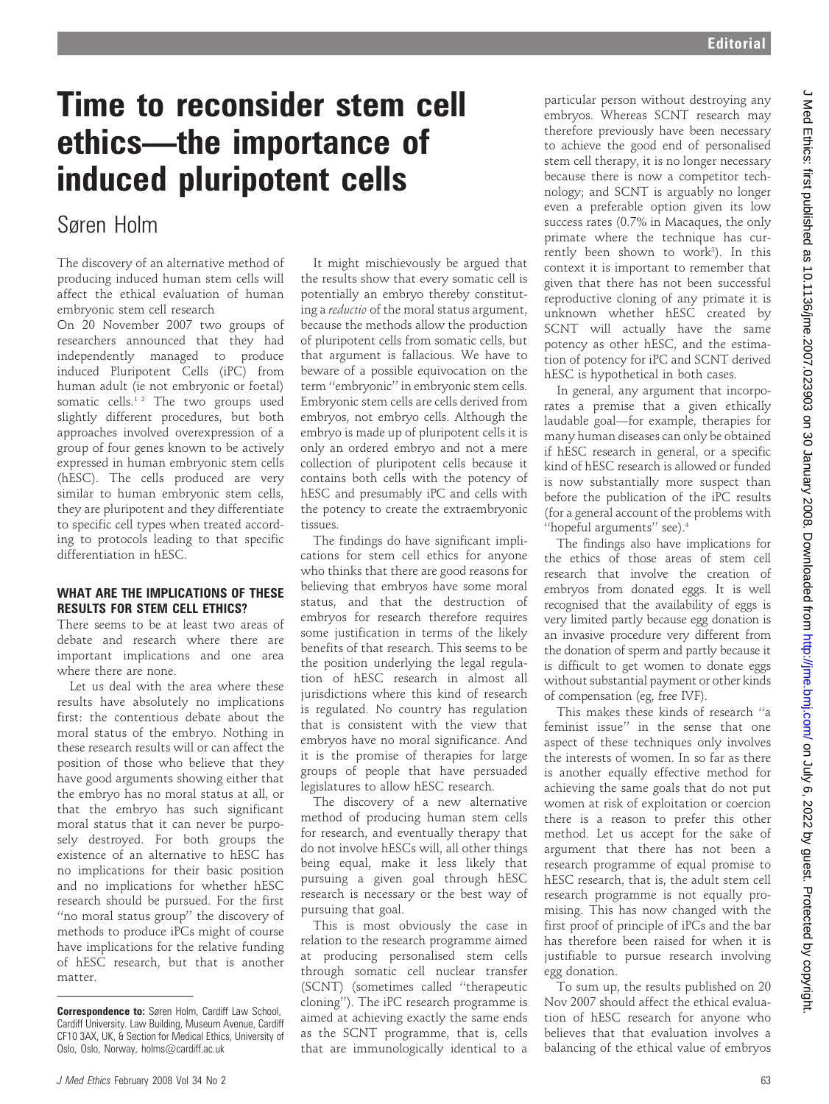# Time to reconsider stem cell ethics—the importance of induced pluripotent cells

## Søren Holm

The discovery of an alternative method of producing induced human stem cells will affect the ethical evaluation of human embryonic stem cell research

On 20 November 2007 two groups of researchers announced that they had independently managed to produce induced Pluripotent Cells (iPC) from human adult (ie not embryonic or foetal) somatic cells.<sup>12</sup> The two groups used slightly different procedures, but both approaches involved overexpression of a group of four genes known to be actively expressed in human embryonic stem cells (hESC). The cells produced are very similar to human embryonic stem cells, they are pluripotent and they differentiate to specific cell types when treated according to protocols leading to that specific differentiation in hESC.

### WHAT ARE THE IMPLICATIONS OF THESE RESULTS FOR STEM CELL ETHICS?

There seems to be at least two areas of debate and research where there are important implications and one area where there are none.

Let us deal with the area where these results have absolutely no implications first: the contentious debate about the moral status of the embryo. Nothing in these research results will or can affect the position of those who believe that they have good arguments showing either that the embryo has no moral status at all, or that the embryo has such significant moral status that it can never be purposely destroyed. For both groups the existence of an alternative to hESC has no implications for their basic position and no implications for whether hESC research should be pursued. For the first ''no moral status group'' the discovery of methods to produce iPCs might of course have implications for the relative funding of hESC research, but that is another matter.

It might mischievously be argued that the results show that every somatic cell is potentially an embryo thereby constituting a reductio of the moral status argument, because the methods allow the production of pluripotent cells from somatic cells, but that argument is fallacious. We have to beware of a possible equivocation on the term ''embryonic'' in embryonic stem cells. Embryonic stem cells are cells derived from embryos, not embryo cells. Although the embryo is made up of pluripotent cells it is only an ordered embryo and not a mere collection of pluripotent cells because it contains both cells with the potency of hESC and presumably iPC and cells with the potency to create the extraembryonic tissues.

The findings do have significant implications for stem cell ethics for anyone who thinks that there are good reasons for believing that embryos have some moral status, and that the destruction of embryos for research therefore requires some justification in terms of the likely benefits of that research. This seems to be the position underlying the legal regulation of hESC research in almost all jurisdictions where this kind of research is regulated. No country has regulation that is consistent with the view that embryos have no moral significance. And it is the promise of therapies for large groups of people that have persuaded legislatures to allow hESC research.

The discovery of a new alternative method of producing human stem cells for research, and eventually therapy that do not involve hESCs will, all other things being equal, make it less likely that pursuing a given goal through hESC research is necessary or the best way of pursuing that goal.

This is most obviously the case in relation to the research programme aimed at producing personalised stem cells through somatic cell nuclear transfer (SCNT) (sometimes called ''therapeutic cloning''). The iPC research programme is aimed at achieving exactly the same ends as the SCNT programme, that is, cells that are immunologically identical to a

particular person without destroying any embryos. Whereas SCNT research may therefore previously have been necessary to achieve the good end of personalised stem cell therapy, it is no longer necessary because there is now a competitor technology; and SCNT is arguably no longer even a preferable option given its low success rates (0.7% in Macaques, the only primate where the technique has currently been shown to work<sup>3</sup>). In this context it is important to remember that given that there has not been successful reproductive cloning of any primate it is unknown whether hESC created by SCNT will actually have the same potency as other hESC, and the estimation of potency for iPC and SCNT derived hESC is hypothetical in both cases.

In general, any argument that incorporates a premise that a given ethically laudable goal—for example, therapies for many human diseases can only be obtained if hESC research in general, or a specific kind of hESC research is allowed or funded is now substantially more suspect than before the publication of the iPC results (for a general account of the problems with ''hopeful arguments'' see).4

The findings also have implications for the ethics of those areas of stem cell research that involve the creation of embryos from donated eggs. It is well recognised that the availability of eggs is very limited partly because egg donation is an invasive procedure very different from the donation of sperm and partly because it is difficult to get women to donate eggs without substantial payment or other kinds of compensation (eg, free IVF).

This makes these kinds of research ''a feminist issue'' in the sense that one aspect of these techniques only involves the interests of women. In so far as there is another equally effective method for achieving the same goals that do not put women at risk of exploitation or coercion there is a reason to prefer this other method. Let us accept for the sake of argument that there has not been a research programme of equal promise to hESC research, that is, the adult stem cell research programme is not equally promising. This has now changed with the first proof of principle of iPCs and the bar has therefore been raised for when it is justifiable to pursue research involving egg donation.

To sum up, the results published on 20 Nov 2007 should affect the ethical evaluation of hESC research for anyone who believes that that evaluation involves a balancing of the ethical value of embryos

J Med Ethics: first published as 10.1136/jme.2007.023903 on 30 January 2008. Downloaded from http://jme.bmj.com/ on July 6, 2022 by guest. Protected by copyright J Med Ethics: first published as 10.1136/jme.2007.023903 on 30 January 2008. Downloaded from Dom/ Jime.bmj.com/ on July 6, 2022 by guest. Protected by copyright.

Correspondence to: Søren Holm, Cardiff Law School, Cardiff University. Law Building, Museum Avenue, Cardiff CF10 3AX, UK, & Section for Medical Ethics, University of Oslo, Oslo, Norway, holms@cardiff.ac.uk